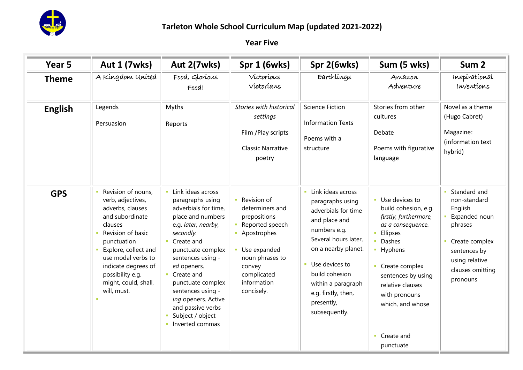

| Year 5         | <b>Aut 1 (7wks)</b>                                                                                                                                                                                                                                           | Aut 2(7wks)                                                                                                                                                                                                                                                                                                                              | Spr 1 (6wks)                                                                                                                                                                           | Spr 2(6wks)                                                                                                                                                                                                                                                         | Sum (5 wks)                                                                                                                                                                                                                                                      | Sum <sub>2</sub>                                                                                                                                          |
|----------------|---------------------------------------------------------------------------------------------------------------------------------------------------------------------------------------------------------------------------------------------------------------|------------------------------------------------------------------------------------------------------------------------------------------------------------------------------------------------------------------------------------------------------------------------------------------------------------------------------------------|----------------------------------------------------------------------------------------------------------------------------------------------------------------------------------------|---------------------------------------------------------------------------------------------------------------------------------------------------------------------------------------------------------------------------------------------------------------------|------------------------------------------------------------------------------------------------------------------------------------------------------------------------------------------------------------------------------------------------------------------|-----------------------------------------------------------------------------------------------------------------------------------------------------------|
| <b>Theme</b>   | A Kíngdom Uníted                                                                                                                                                                                                                                              | Food, Glorious<br>Food!                                                                                                                                                                                                                                                                                                                  | Víctoríous<br>Víctoríans                                                                                                                                                               | Earthlings                                                                                                                                                                                                                                                          | Amazon<br>Adventure                                                                                                                                                                                                                                              | Inspirational<br>Inventions                                                                                                                               |
| <b>English</b> | Legends<br>Persuasion                                                                                                                                                                                                                                         | Myths<br>Reports                                                                                                                                                                                                                                                                                                                         | <b>Stories with historical</b><br>settings<br>Film / Play scripts<br><b>Classic Narrative</b><br>poetry                                                                                | <b>Science Fiction</b><br><b>Information Texts</b><br>Poems with a<br>structure                                                                                                                                                                                     | Stories from other<br>cultures<br>Debate<br>Poems with figurative<br>language                                                                                                                                                                                    | Novel as a theme<br>(Hugo Cabret)<br>Magazine:<br>(information text<br>hybrid)                                                                            |
| <b>GPS</b>     | Revision of nouns,<br>verb, adjectives,<br>adverbs, clauses<br>and subordinate<br>clauses<br>Revision of basic<br>punctuation<br>Explore, collect and<br>use modal verbs to<br>indicate degrees of<br>possibility e.g.<br>might, could, shall,<br>will, must. | Link ideas across<br>paragraphs using<br>adverbials for time,<br>place and numbers<br>e.g. later, nearby,<br>secondly.<br>Create and<br>punctuate complex<br>sentences using -<br>ed openers.<br>Create and<br>punctuate complex<br>sentences using -<br>ing openers. Active<br>and passive verbs<br>Subject / object<br>Inverted commas | • Revision of<br>determiners and<br>prepositions<br>• Reported speech<br>• Apostrophes<br><b>Use expanded</b><br>noun phrases to<br>convey<br>complicated<br>information<br>concisely. | Link ideas across<br>paragraphs using<br>adverbials for time<br>and place and<br>numbers e.g.<br>Several hours later,<br>on a nearby planet.<br><b>Use devices to</b><br>build cohesion<br>within a paragraph<br>e.g. firstly, then,<br>presently,<br>subsequently. | <b>Use devices to</b><br>build cohesion, e.g.<br>firstly, furthermore,<br>as a consequence.<br>Ellipses<br>• Dashes<br>• Hyphens<br>• Create complex<br>sentences by using<br>relative clauses<br>with pronouns<br>which, and whose<br>• Create and<br>punctuate | Standard and<br>non-standard<br>English<br>Expanded noun<br>phrases<br>• Create complex<br>sentences by<br>using relative<br>clauses omitting<br>pronouns |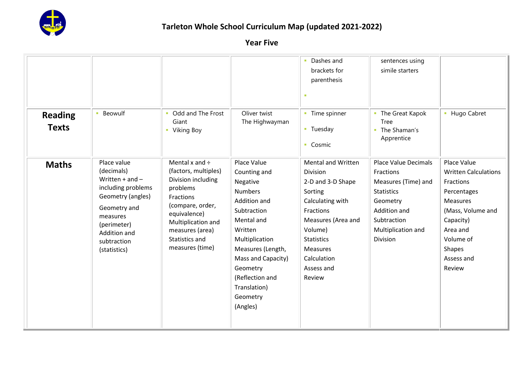

| <b>Reading</b><br><b>Texts</b> | <b>Beowulf</b>                                                                                                                                                                        | Odd and The Frost<br>Giant<br>Viking Boy<br><b>CO</b>                                                                                                                                                        | Oliver twist<br>The Highwayman                                                                                                                                                                                                                        | • Dashes and<br>brackets for<br>parenthesis<br>٠<br>• Time spinner<br>• Tuesday<br>• Cosmic                                                                                                                     | sentences using<br>simile starters<br>• The Great Kapok<br>Tree<br>The Shaman's<br>×.<br>Apprentice                                                                      | • Hugo Cabret                                                                                                                                                                                 |
|--------------------------------|---------------------------------------------------------------------------------------------------------------------------------------------------------------------------------------|--------------------------------------------------------------------------------------------------------------------------------------------------------------------------------------------------------------|-------------------------------------------------------------------------------------------------------------------------------------------------------------------------------------------------------------------------------------------------------|-----------------------------------------------------------------------------------------------------------------------------------------------------------------------------------------------------------------|--------------------------------------------------------------------------------------------------------------------------------------------------------------------------|-----------------------------------------------------------------------------------------------------------------------------------------------------------------------------------------------|
| <b>Maths</b>                   | Place value<br>(decimals)<br>Written $+$ and $-$<br>including problems<br>Geometry (angles)<br>Geometry and<br>measures<br>(perimeter)<br>Addition and<br>subtraction<br>(statistics) | Mental x and $\div$<br>(factors, multiples)<br>Division including<br>problems<br>Fractions<br>(compare, order,<br>equivalence)<br>Multiplication and<br>measures (area)<br>Statistics and<br>measures (time) | Place Value<br>Counting and<br>Negative<br><b>Numbers</b><br>Addition and<br>Subtraction<br>Mental and<br>Written<br>Multiplication<br>Measures (Length,<br>Mass and Capacity)<br>Geometry<br>(Reflection and<br>Translation)<br>Geometry<br>(Angles) | <b>Mental and Written</b><br>Division<br>2-D and 3-D Shape<br>Sorting<br>Calculating with<br>Fractions<br>Measures (Area and<br>Volume)<br><b>Statistics</b><br>Measures<br>Calculation<br>Assess and<br>Review | <b>Place Value Decimals</b><br>Fractions<br>Measures (Time) and<br><b>Statistics</b><br>Geometry<br>Addition and<br>Subtraction<br>Multiplication and<br><b>Division</b> | Place Value<br><b>Written Calculations</b><br>Fractions<br>Percentages<br><b>Measures</b><br>(Mass, Volume and<br>Capacity)<br>Area and<br>Volume of<br><b>Shapes</b><br>Assess and<br>Review |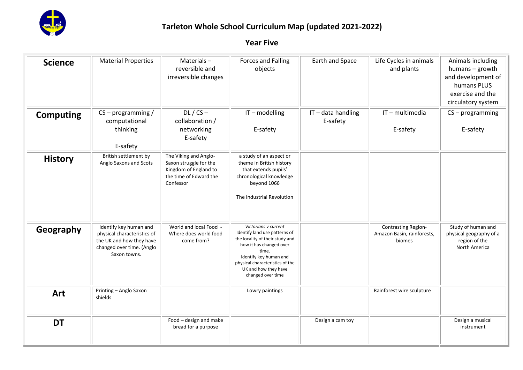

| <b>Science</b>   | <b>Material Properties</b>                                                                                                     | Materials-<br>reversible and<br>irreversible changes                                                            | <b>Forces and Falling</b><br>objects                                                                                                                                                                                                   | Earth and Space              | Life Cycles in animals<br>and plants                               | Animals including<br>humans - growth<br>and development of<br>humans PLUS<br>exercise and the<br>circulatory system |
|------------------|--------------------------------------------------------------------------------------------------------------------------------|-----------------------------------------------------------------------------------------------------------------|----------------------------------------------------------------------------------------------------------------------------------------------------------------------------------------------------------------------------------------|------------------------------|--------------------------------------------------------------------|---------------------------------------------------------------------------------------------------------------------|
| <b>Computing</b> | $CS$ – programming /<br>computational<br>thinking<br>E-safety                                                                  | $DL / CS -$<br>collaboration /<br>networking<br>E-safety                                                        | IT-modelling<br>E-safety                                                                                                                                                                                                               | IT-data handling<br>E-safety | IT-multimedia<br>E-safety                                          | $CS - programming$<br>E-safety                                                                                      |
| <b>History</b>   | British settlement by<br>Anglo Saxons and Scots                                                                                | The Viking and Anglo-<br>Saxon struggle for the<br>Kingdom of England to<br>the time of Edward the<br>Confessor | a study of an aspect or<br>theme in British history<br>that extends pupils'<br>chronological knowledge<br>beyond 1066<br>The Industrial Revolution                                                                                     |                              |                                                                    |                                                                                                                     |
| Geography        | Identify key human and<br>physical characteristics of<br>the UK and how they have<br>changed over time. (Anglo<br>Saxon towns. | World and local Food -<br>Where does world food<br>come from?                                                   | Victorians v current<br>Identify land use patterns of<br>the locality of their study and<br>how it has changed over<br>time.<br>Identify key human and<br>physical characteristics of the<br>UK and how they have<br>changed over time |                              | <b>Contrasting Region-</b><br>Amazon Basin, rainforests,<br>biomes | Study of human and<br>physical geography of a<br>region of the<br><b>North America</b>                              |
| Art              | Printing - Anglo Saxon<br>shields                                                                                              |                                                                                                                 | Lowry paintings                                                                                                                                                                                                                        |                              | Rainforest wire sculpture                                          |                                                                                                                     |
| <b>DT</b>        |                                                                                                                                | Food - design and make<br>bread for a purpose                                                                   |                                                                                                                                                                                                                                        | Design a cam toy             |                                                                    | Design a musical<br>instrument                                                                                      |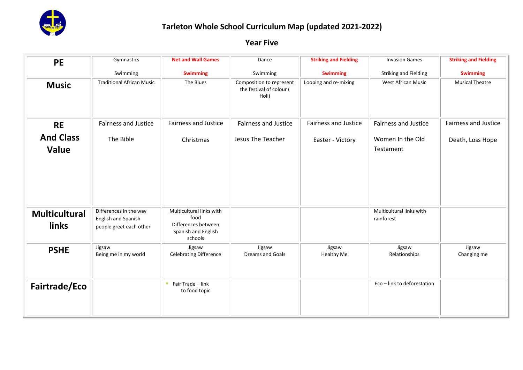

| <b>PE</b>                            | Gymnastics                                                               | <b>Net and Wall Games</b>                                                                 | Dance                                                         | <b>Striking and Fielding</b> | <b>Invasion Games</b>                  | <b>Striking and Fielding</b> |
|--------------------------------------|--------------------------------------------------------------------------|-------------------------------------------------------------------------------------------|---------------------------------------------------------------|------------------------------|----------------------------------------|------------------------------|
|                                      | Swimming                                                                 | <b>Swimming</b>                                                                           | Swimming                                                      | <b>Swimming</b>              | <b>Striking and Fielding</b>           | <b>Swimming</b>              |
| <b>Music</b>                         | <b>Traditional African Music</b>                                         | The Blues                                                                                 | Composition to represent<br>the festival of colour (<br>Holi) | Looping and re-mixing        | West African Music                     | <b>Musical Theatre</b>       |
| <b>RE</b>                            | <b>Fairness and Justice</b>                                              | <b>Fairness and Justice</b>                                                               | <b>Fairness and Justice</b>                                   | <b>Fairness and Justice</b>  | <b>Fairness and Justice</b>            | <b>Fairness and Justice</b>  |
| <b>And Class</b><br><b>Value</b>     | The Bible                                                                | Christmas                                                                                 | Jesus The Teacher                                             | Easter - Victory             | Women In the Old<br>Testament          | Death, Loss Hope             |
|                                      |                                                                          |                                                                                           |                                                               |                              |                                        |                              |
| <b>Multicultural</b><br><b>links</b> | Differences in the way<br>English and Spanish<br>people greet each other | Multicultural links with<br>food<br>Differences between<br>Spanish and English<br>schools |                                                               |                              | Multicultural links with<br>rainforest |                              |
| <b>PSHE</b>                          | Jigsaw<br>Being me in my world                                           | Jigsaw<br><b>Celebrating Difference</b>                                                   | Jigsaw<br>Dreams and Goals                                    | Jigsaw<br>Healthy Me         | Jigsaw<br>Relationships                | Jigsaw<br>Changing me        |
| Fairtrade/Eco                        |                                                                          | ■ Fair Trade $-$ link<br>to food topic                                                    |                                                               |                              | Eco - link to deforestation            |                              |